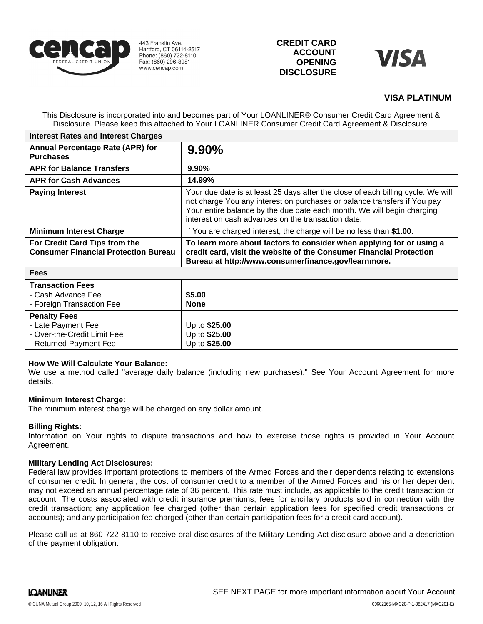

443 Franklin Ave. Hartford, CT 06114-2517 Phone: (860) 722-8110 Fax: (860) 296-8981 www.cencap.com

**CREDIT CARD ACCOUNT OPENING DISCLOSURE**



# **VISA PLATINUM**

This Disclosure is incorporated into and becomes part of Your LOANLINER® Consumer Credit Card Agreement & Disclosure. Please keep this attached to Your LOANLINER Consumer Credit Card Agreement & Disclosure.

| <b>Interest Rates and Interest Charges</b>                                                         |                                                                                                                                                                                                                                                                                              |
|----------------------------------------------------------------------------------------------------|----------------------------------------------------------------------------------------------------------------------------------------------------------------------------------------------------------------------------------------------------------------------------------------------|
| Annual Percentage Rate (APR) for<br><b>Purchases</b>                                               | 9.90%                                                                                                                                                                                                                                                                                        |
| <b>APR for Balance Transfers</b>                                                                   | 9.90%                                                                                                                                                                                                                                                                                        |
| <b>APR for Cash Advances</b>                                                                       | 14.99%                                                                                                                                                                                                                                                                                       |
| <b>Paying Interest</b>                                                                             | Your due date is at least 25 days after the close of each billing cycle. We will<br>not charge You any interest on purchases or balance transfers if You pay<br>Your entire balance by the due date each month. We will begin charging<br>interest on cash advances on the transaction date. |
| <b>Minimum Interest Charge</b>                                                                     | If You are charged interest, the charge will be no less than \$1.00.                                                                                                                                                                                                                         |
| For Credit Card Tips from the<br><b>Consumer Financial Protection Bureau</b>                       | To learn more about factors to consider when applying for or using a<br>credit card, visit the website of the Consumer Financial Protection<br>Bureau at http://www.consumerfinance.gov/learnmore.                                                                                           |
| <b>Fees</b>                                                                                        |                                                                                                                                                                                                                                                                                              |
| <b>Transaction Fees</b><br>- Cash Advance Fee<br>- Foreign Transaction Fee                         | \$5.00<br><b>None</b>                                                                                                                                                                                                                                                                        |
| <b>Penalty Fees</b><br>- Late Payment Fee<br>- Over-the-Credit Limit Fee<br>- Returned Payment Fee | Up to \$25.00<br>Up to \$25.00<br>Up to \$25.00                                                                                                                                                                                                                                              |

# **How We Will Calculate Your Balance:**

We use a method called "average daily balance (including new purchases)." See Your Account Agreement for more details.

#### **Minimum Interest Charge:**

The minimum interest charge will be charged on any dollar amount.

# **Billing Rights:**

Information on Your rights to dispute transactions and how to exercise those rights is provided in Your Account Agreement.

# **Military Lending Act Disclosures:**

Federal law provides important protections to members of the Armed Forces and their dependents relating to extensions of consumer credit. In general, the cost of consumer credit to a member of the Armed Forces and his or her dependent may not exceed an annual percentage rate of 36 percent. This rate must include, as applicable to the credit transaction or account: The costs associated with credit insurance premiums; fees for ancillary products sold in connection with the credit transaction; any application fee charged (other than certain application fees for specified credit transactions or accounts); and any participation fee charged (other than certain participation fees for a credit card account).

Please call us at 860-722-8110 to receive oral disclosures of the Military Lending Act disclosure above and a description of the payment obligation.